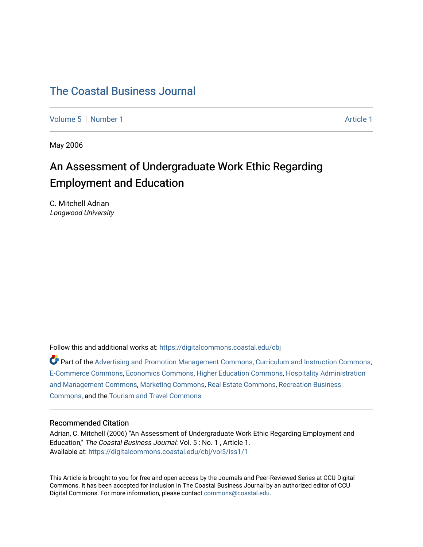# [The Coastal Business Journal](https://digitalcommons.coastal.edu/cbj)

[Volume 5](https://digitalcommons.coastal.edu/cbj/vol5) | [Number 1](https://digitalcommons.coastal.edu/cbj/vol5/iss1) Article 1

May 2006

# An Assessment of Undergraduate Work Ethic Regarding Employment and Education

C. Mitchell Adrian Longwood University

Follow this and additional works at: [https://digitalcommons.coastal.edu/cbj](https://digitalcommons.coastal.edu/cbj?utm_source=digitalcommons.coastal.edu%2Fcbj%2Fvol5%2Fiss1%2F1&utm_medium=PDF&utm_campaign=PDFCoverPages) 

Part of the [Advertising and Promotion Management Commons,](http://network.bepress.com/hgg/discipline/626?utm_source=digitalcommons.coastal.edu%2Fcbj%2Fvol5%2Fiss1%2F1&utm_medium=PDF&utm_campaign=PDFCoverPages) [Curriculum and Instruction Commons,](http://network.bepress.com/hgg/discipline/786?utm_source=digitalcommons.coastal.edu%2Fcbj%2Fvol5%2Fiss1%2F1&utm_medium=PDF&utm_campaign=PDFCoverPages) [E-Commerce Commons,](http://network.bepress.com/hgg/discipline/624?utm_source=digitalcommons.coastal.edu%2Fcbj%2Fvol5%2Fiss1%2F1&utm_medium=PDF&utm_campaign=PDFCoverPages) [Economics Commons](http://network.bepress.com/hgg/discipline/340?utm_source=digitalcommons.coastal.edu%2Fcbj%2Fvol5%2Fiss1%2F1&utm_medium=PDF&utm_campaign=PDFCoverPages), [Higher Education Commons](http://network.bepress.com/hgg/discipline/1245?utm_source=digitalcommons.coastal.edu%2Fcbj%2Fvol5%2Fiss1%2F1&utm_medium=PDF&utm_campaign=PDFCoverPages), [Hospitality Administration](http://network.bepress.com/hgg/discipline/632?utm_source=digitalcommons.coastal.edu%2Fcbj%2Fvol5%2Fiss1%2F1&utm_medium=PDF&utm_campaign=PDFCoverPages) [and Management Commons,](http://network.bepress.com/hgg/discipline/632?utm_source=digitalcommons.coastal.edu%2Fcbj%2Fvol5%2Fiss1%2F1&utm_medium=PDF&utm_campaign=PDFCoverPages) [Marketing Commons](http://network.bepress.com/hgg/discipline/638?utm_source=digitalcommons.coastal.edu%2Fcbj%2Fvol5%2Fiss1%2F1&utm_medium=PDF&utm_campaign=PDFCoverPages), [Real Estate Commons](http://network.bepress.com/hgg/discipline/641?utm_source=digitalcommons.coastal.edu%2Fcbj%2Fvol5%2Fiss1%2F1&utm_medium=PDF&utm_campaign=PDFCoverPages), [Recreation Business](http://network.bepress.com/hgg/discipline/1083?utm_source=digitalcommons.coastal.edu%2Fcbj%2Fvol5%2Fiss1%2F1&utm_medium=PDF&utm_campaign=PDFCoverPages) [Commons](http://network.bepress.com/hgg/discipline/1083?utm_source=digitalcommons.coastal.edu%2Fcbj%2Fvol5%2Fiss1%2F1&utm_medium=PDF&utm_campaign=PDFCoverPages), and the [Tourism and Travel Commons](http://network.bepress.com/hgg/discipline/1082?utm_source=digitalcommons.coastal.edu%2Fcbj%2Fvol5%2Fiss1%2F1&utm_medium=PDF&utm_campaign=PDFCoverPages)

#### Recommended Citation

Adrian, C. Mitchell (2006) "An Assessment of Undergraduate Work Ethic Regarding Employment and Education," The Coastal Business Journal: Vol. 5 : No. 1, Article 1. Available at: [https://digitalcommons.coastal.edu/cbj/vol5/iss1/1](https://digitalcommons.coastal.edu/cbj/vol5/iss1/1?utm_source=digitalcommons.coastal.edu%2Fcbj%2Fvol5%2Fiss1%2F1&utm_medium=PDF&utm_campaign=PDFCoverPages)

This Article is brought to you for free and open access by the Journals and Peer-Reviewed Series at CCU Digital Commons. It has been accepted for inclusion in The Coastal Business Journal by an authorized editor of CCU Digital Commons. For more information, please contact [commons@coastal.edu](mailto:commons@coastal.edu).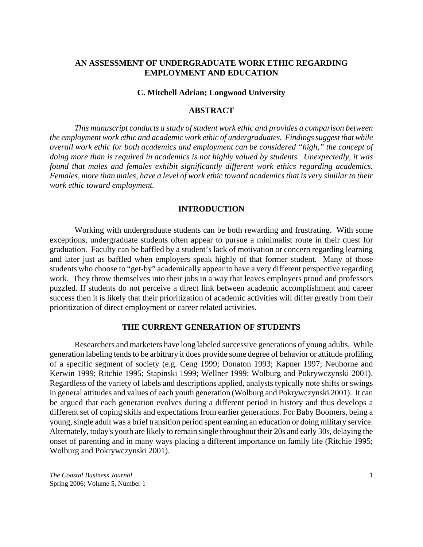# **AN ASSESSMENT OF UNDERGRADUATE WORK ETHIC REGARDING EMPLOYMENT AND EDUCATION**

#### **C. Mitchell Adrian; Longwood University**

### **ABSTRACT**

*This manuscript conducts a study of student work ethic and provides a comparison between the employment work ethic and academic work ethic of undergraduates. Findings suggest that while overall work ethic for both academics and employment can be considered "high," the concept of doing more than is required in academics is not highly valued by students. Unexpectedly, it was found that males and females exhibit significantly different work ethics regarding academics. Females, more than males, have a level of work ethic toward academics that is very similar to their work ethic toward employment.* 

#### **INTRODUCTION**

Working with undergraduate students can be both rewarding and frustrating. With some exceptions, undergraduate students often appear to pursue a minimalist route in their quest for graduation. Faculty can be baffled by a student's lack of motivation or concern regarding learning and later just as baffled when employers speak highly of that former student. Many of those students who choose to "get-by" academically appear to have a very different perspective regarding work. They throw themselves into their jobs in a way that leaves employers proud and professors puzzled. If students do not perceive a direct link between academic accomplishment and career success then it is likely that their prioritization of academic activities will differ greatly from their prioritization of direct employment or career related activities.

#### **THE CURRENT GENERATION OF STUDENTS**

Researchers and marketers have long labeled successive generations of young adults. While generation labeling tends to be arbitrary it does provide some degree of behavior or attitude profiling of a specific segment of society (e.g. Ceng 1999; Donaton 1993; Kapner 1997; Neuborne and Kerwin 1999; Ritchie 1995; Stapinski 1999; Wellner 1999; Wolburg and Pokrywczynski 2001). Regardless of the variety of labels and descriptions applied, analysts typically note shifts or swings in general attitudes and values of each youth generation (Wolburg and Pokrywczynski 2001). It can be argued that each generation evolves during a different period in history and thus develops a different set of coping skills and expectations from earlier generations. For Baby Boomers, being a young, single adult was a brief transition period spent earning an education or doing military service. Alternately, today's youth are likely to remain single throughout their 20s and early 30s, delaying the onset of parenting and in many ways placing a different importance on family life (Ritchie 1995; Wolburg and Pokrywczynski 2001).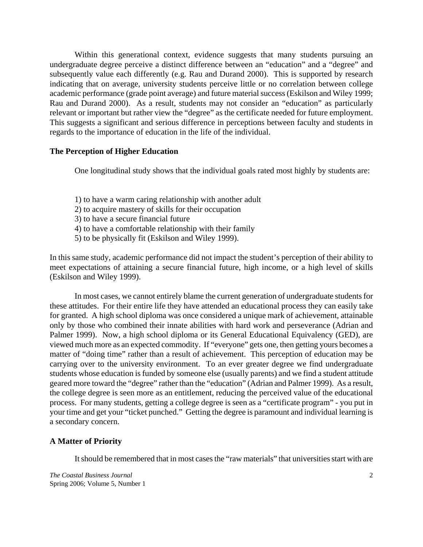Within this generational context, evidence suggests that many students pursuing an undergraduate degree perceive a distinct difference between an "education" and a "degree" and subsequently value each differently (e.g. Rau and Durand 2000). This is supported by research indicating that on average, university students perceive little or no correlation between college academic performance (grade point average) and future material success (Eskilson and Wiley 1999; Rau and Durand 2000). As a result, students may not consider an "education" as particularly relevant or important but rather view the "degree" as the certificate needed for future employment. This suggests a significant and serious difference in perceptions between faculty and students in regards to the importance of education in the life of the individual.

#### **The Perception of Higher Education**

One longitudinal study shows that the individual goals rated most highly by students are:

- 1) to have a warm caring relationship with another adult
- 2) to acquire mastery of skills for their occupation
- 3) to have a secure financial future
- 4) to have a comfortable relationship with their family
- 5) to be physically fit (Eskilson and Wiley 1999).

In this same study, academic performance did not impact the student's perception of their ability to meet expectations of attaining a secure financial future, high income, or a high level of skills (Eskilson and Wiley 1999).

In most cases, we cannot entirely blame the current generation of undergraduate students for these attitudes. For their entire life they have attended an educational process they can easily take for granted. A high school diploma was once considered a unique mark of achievement, attainable only by those who combined their innate abilities with hard work and perseverance (Adrian and Palmer 1999). Now, a high school diploma or its General Educational Equivalency (GED), are viewed much more as an expected commodity. If "everyone" gets one, then getting yours becomes a matter of "doing time" rather than a result of achievement. This perception of education may be carrying over to the university environment. To an ever greater degree we find undergraduate students whose education is funded by someone else (usually parents) and we find a student attitude geared more toward the "degree" rather than the "education" (Adrian and Palmer 1999). As a result, the college degree is seen more as an entitlement, reducing the perceived value of the educational process. For many students, getting a college degree is seen as a "certificate program" - you put in your time and get your "ticket punched." Getting the degree is paramount and individual learning is a secondary concern.

# **A Matter of Priority**

It should be remembered that in most cases the "raw materials" that universities start with are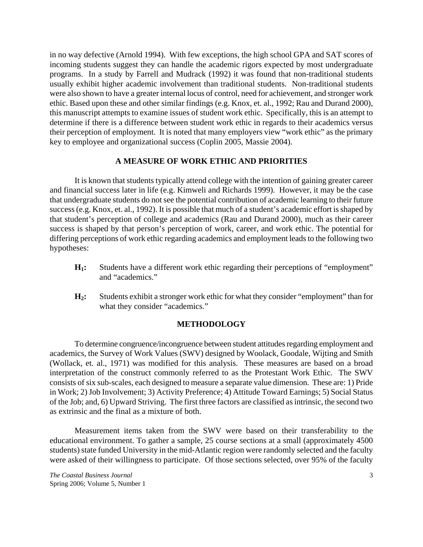in no way defective (Arnold 1994). With few exceptions, the high school GPA and SAT scores of incoming students suggest they can handle the academic rigors expected by most undergraduate programs. In a study by Farrell and Mudrack (1992) it was found that non-traditional students usually exhibit higher academic involvement than traditional students. Non-traditional students were also shown to have a greater internal locus of control, need for achievement, and stronger work ethic. Based upon these and other similar findings (e.g. Knox, et. al., 1992; Rau and Durand 2000), this manuscript attempts to examine issues of student work ethic. Specifically, this is an attempt to determine if there is a difference between student work ethic in regards to their academics versus their perception of employment. It is noted that many employers view "work ethic" as the primary key to employee and organizational success (Coplin 2005, Massie 2004).

# **A MEASURE OF WORK ETHIC AND PRIORITIES**

It is known that students typically attend college with the intention of gaining greater career and financial success later in life (e.g. Kimweli and Richards 1999). However, it may be the case that undergraduate students do not see the potential contribution of academic learning to their future success (e.g. Knox, et. al., 1992). It is possible that much of a student's academic effort is shaped by that student's perception of college and academics (Rau and Durand 2000), much as their career success is shaped by that person's perception of work, career, and work ethic. The potential for differing perceptions of work ethic regarding academics and employment leads to the following two hypotheses:

- **H1:** Students have a different work ethic regarding their perceptions of "employment" and "academics."
- **H2:** Students exhibit a stronger work ethic for what they consider "employment" than for what they consider "academics."

#### **METHODOLOGY**

To determine congruence/incongruence between student attitudes regarding employment and academics, the Survey of Work Values (SWV) designed by Woolack, Goodale, Wijting and Smith (Wollack, et. al., 1971) was modified for this analysis. These measures are based on a broad interpretation of the construct commonly referred to as the Protestant Work Ethic. The SWV consists of six sub-scales, each designed to measure a separate value dimension. These are: 1) Pride in Work; 2) Job Involvement; 3) Activity Preference; 4) Attitude Toward Earnings; 5) Social Status of the Job; and, 6) Upward Striving. The first three factors are classified as intrinsic, the second two as extrinsic and the final as a mixture of both.

Measurement items taken from the SWV were based on their transferability to the educational environment. To gather a sample, 25 course sections at a small (approximately 4500 students) state funded University in the mid-Atlantic region were randomly selected and the faculty were asked of their willingness to participate. Of those sections selected, over 95% of the faculty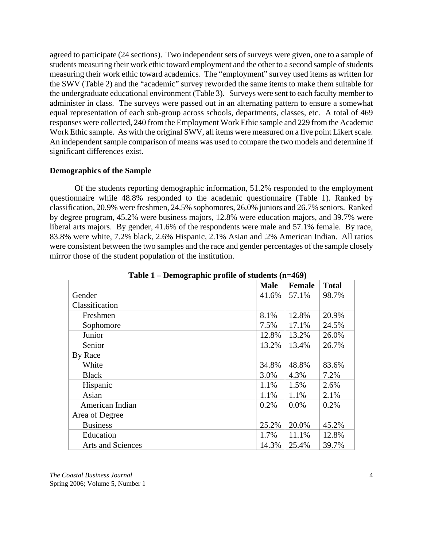agreed to participate (24 sections). Two independent sets of surveys were given, one to a sample of students measuring their work ethic toward employment and the other to a second sample of students measuring their work ethic toward academics. The "employment" survey used items as written for the SWV (Table 2) and the "academic" survey reworded the same items to make them suitable for the undergraduate educational environment (Table 3). Surveys were sent to each faculty member to administer in class. The surveys were passed out in an alternating pattern to ensure a somewhat equal representation of each sub-group across schools, departments, classes, etc. A total of 469 responses were collected, 240 from the Employment Work Ethic sample and 229 from the Academic Work Ethic sample. As with the original SWV, all items were measured on a five point Likert scale. An independent sample comparison of means was used to compare the two models and determine if significant differences exist.

#### **Demographics of the Sample**

Of the students reporting demographic information, 51.2% responded to the employment questionnaire while 48.8% responded to the academic questionnaire (Table 1). Ranked by classification, 20.9% were freshmen, 24.5% sophomores, 26.0% juniors and 26.7% seniors. Ranked by degree program, 45.2% were business majors, 12.8% were education majors, and 39.7% were liberal arts majors. By gender, 41.6% of the respondents were male and 57.1% female. By race, 83.8% were white, 7.2% black, 2.6% Hispanic, 2.1% Asian and .2% American Indian. All ratios were consistent between the two samples and the race and gender percentages of the sample closely mirror those of the student population of the institution.

| $P_{\text{cutoff}}$ where $P_{\text{t}}$ once to be determined $\left(\text{h} - \text{r}_{\text{t}}\right)$ |             |        |              |
|--------------------------------------------------------------------------------------------------------------|-------------|--------|--------------|
|                                                                                                              | <b>Male</b> | Female | <b>Total</b> |
| Gender                                                                                                       | 41.6%       | 57.1%  | 98.7%        |
| Classification                                                                                               |             |        |              |
| Freshmen                                                                                                     | 8.1%        | 12.8%  | 20.9%        |
| Sophomore                                                                                                    | 7.5%        | 17.1%  | 24.5%        |
| Junior                                                                                                       | 12.8%       | 13.2%  | 26.0%        |
| Senior                                                                                                       | 13.2%       | 13.4%  | 26.7%        |
| By Race                                                                                                      |             |        |              |
| White                                                                                                        | 34.8%       | 48.8%  | 83.6%        |
| <b>Black</b>                                                                                                 | 3.0%        | 4.3%   | 7.2%         |
| Hispanic                                                                                                     | 1.1%        | 1.5%   | 2.6%         |
| Asian                                                                                                        | 1.1%        | 1.1%   | 2.1%         |
| American Indian                                                                                              | 0.2%        | 0.0%   | 0.2%         |
| Area of Degree                                                                                               |             |        |              |
| <b>Business</b>                                                                                              | 25.2%       | 20.0%  | 45.2%        |
| Education                                                                                                    | 1.7%        | 11.1%  | 12.8%        |
| Arts and Sciences                                                                                            | 14.3%       | 25.4%  | 39.7%        |

**Table 1 – Demographic profile of students (n=469)**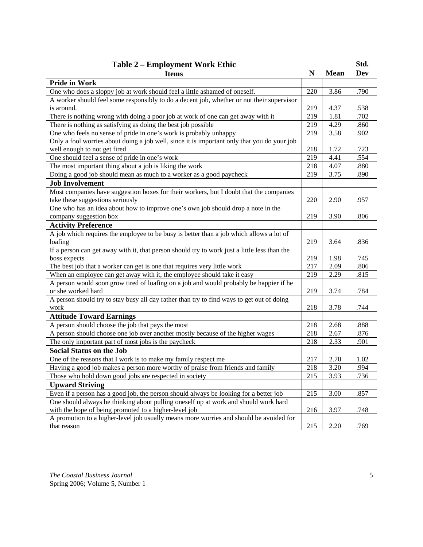| <b>Table 2 – Employment Work Ethic</b>                                                       |     |             | Std. |
|----------------------------------------------------------------------------------------------|-----|-------------|------|
| <b>Items</b>                                                                                 | N   | <b>Mean</b> | Dev  |
| <b>Pride in Work</b>                                                                         |     |             |      |
| One who does a sloppy job at work should feel a little ashamed of oneself.                   | 220 | 3.86        | .790 |
| A worker should feel some responsibly to do a decent job, whether or not their supervisor    |     |             |      |
| is around.                                                                                   | 219 | 4.37        | .538 |
| There is nothing wrong with doing a poor job at work of one can get away with it             | 219 | 1.81        | .702 |
| There is nothing as satisfying as doing the best job possible                                | 219 | 4.29        | .860 |
| One who feels no sense of pride in one's work is probably unhappy                            | 219 | 3.58        | .902 |
| Only a fool worries about doing a job well, since it is important only that you do your job  |     |             |      |
| well enough to not get fired                                                                 | 218 | 1.72        | .723 |
| One should feel a sense of pride in one's work                                               | 219 | 4.41        | .554 |
| The most important thing about a job is liking the work                                      | 218 | 4.07        | .880 |
| Doing a good job should mean as much to a worker as a good paycheck                          | 219 | 3.75        | .890 |
| <b>Job Involvement</b>                                                                       |     |             |      |
| Most companies have suggestion boxes for their workers, but I doubt that the companies       |     |             |      |
| take these suggestions seriously                                                             | 220 | 2.90        | .957 |
| One who has an idea about how to improve one's own job should drop a note in the             |     |             |      |
| company suggestion box                                                                       | 219 | 3.90        | .806 |
| <b>Activity Preference</b>                                                                   |     |             |      |
| A job which requires the employee to be busy is better than a job which allows a lot of      |     |             |      |
| loafing                                                                                      | 219 | 3.64        | .836 |
| If a person can get away with it, that person should try to work just a little less than the |     |             |      |
| boss expects                                                                                 | 219 | 1.98        | .745 |
| The best job that a worker can get is one that requires very little work                     | 217 | 2.09        | .806 |
| When an employee can get away with it, the employee should take it easy                      | 219 | 2.29        | .815 |
| A person would soon grow tired of loafing on a job and would probably be happier if he       |     |             |      |
| or she worked hard                                                                           | 219 | 3.74        | .784 |
| A person should try to stay busy all day rather than try to find ways to get out of doing    |     |             |      |
| work                                                                                         | 218 | 3.78        | .744 |
| <b>Attitude Toward Earnings</b>                                                              |     |             |      |
| A person should choose the job that pays the most                                            | 218 | 2.68        | .888 |
| A person should choose one job over another mostly because of the higher wages               | 218 | 2.67        | .876 |
| The only important part of most jobs is the paycheck                                         | 218 | 2.33        | .901 |
| <b>Social Status on the Job</b>                                                              |     |             |      |
| One of the reasons that I work is to make my family respect me                               | 217 | 2.70        | 1.02 |
| Having a good job makes a person more worthy of praise from friends and family               | 218 | 3.20        | .994 |
| Those who hold down good jobs are respected in society                                       | 215 | 3.93        | .736 |
| <b>Upward Striving</b>                                                                       |     |             |      |
| Even if a person has a good job, the person should always be looking for a better job        | 215 | $3.00\,$    | .857 |
| One should always be thinking about pulling oneself up at work and should work hard          |     |             |      |
| with the hope of being promoted to a higher-level job                                        | 216 | 3.97        | .748 |
| A promotion to a higher-level job usually means more worries and should be avoided for       |     |             |      |
| that reason                                                                                  | 215 | 2.20        | .769 |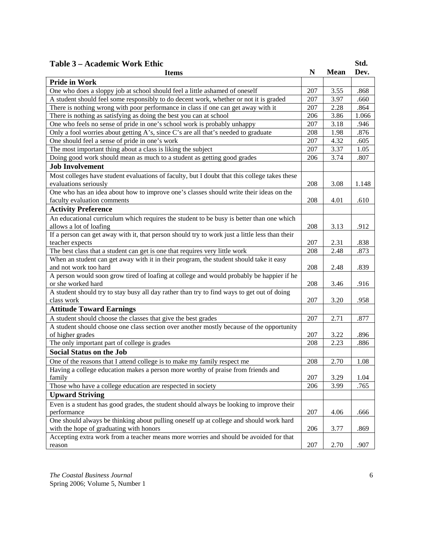| Table 3 – Academic Work Ethic                                                                            |     |             | Std.  |
|----------------------------------------------------------------------------------------------------------|-----|-------------|-------|
| <b>Items</b>                                                                                             | N   | <b>Mean</b> | Dev.  |
| <b>Pride in Work</b>                                                                                     |     |             |       |
| One who does a sloppy job at school should feel a little ashamed of oneself                              | 207 | 3.55        | .868  |
| A student should feel some responsibly to do decent work, whether or not it is graded                    | 207 | 3.97        | .660  |
| There is nothing wrong with poor performance in class if one can get away with it                        | 207 | 2.28        | .864  |
| There is nothing as satisfying as doing the best you can at school                                       | 206 | 3.86        | 1.066 |
| One who feels no sense of pride in one's school work is probably unhappy                                 | 207 | 3.18        | .946  |
| Only a fool worries about getting A's, since C's are all that's needed to graduate                       | 208 | 1.98        | .876  |
| One should feel a sense of pride in one's work                                                           | 207 | 4.32        | .605  |
| The most important thing about a class is liking the subject                                             | 207 | 3.37        | 1.05  |
| Doing good work should mean as much to a student as getting good grades                                  | 206 | 3.74        | .807  |
| <b>Job Involvement</b>                                                                                   |     |             |       |
| Most colleges have student evaluations of faculty, but I doubt that this college takes these             |     |             |       |
| evaluations seriously                                                                                    | 208 | 3.08        | 1.148 |
| One who has an idea about how to improve one's classes should write their ideas on the                   |     |             |       |
| faculty evaluation comments                                                                              | 208 | 4.01        | .610  |
|                                                                                                          |     |             |       |
| <b>Activity Preference</b>                                                                               |     |             |       |
| An educational curriculum which requires the student to be busy is better than one which                 |     |             |       |
| allows a lot of loafing                                                                                  | 208 | 3.13        | .912  |
| If a person can get away with it, that person should try to work just a little less than their           |     |             |       |
| teacher expects                                                                                          | 207 | 2.31        | .838  |
| The best class that a student can get is one that requires very little work                              | 208 | 2.48        | .873  |
| When an student can get away with it in their program, the student should take it easy                   |     |             |       |
| and not work too hard                                                                                    | 208 | 2.48        | .839  |
| A person would soon grow tired of loafing at college and would probably be happier if he                 |     |             |       |
| or she worked hard                                                                                       | 208 | 3.46        | .916  |
| A student should try to stay busy all day rather than try to find ways to get out of doing<br>class work | 207 | 3.20        | .958  |
|                                                                                                          |     |             |       |
| <b>Attitude Toward Earnings</b>                                                                          |     |             |       |
| A student should choose the classes that give the best grades                                            | 207 | 2.71        | .877  |
| A student should choose one class section over another mostly because of the opportunity                 |     |             |       |
| of higher grades                                                                                         | 207 | 3.22        | .896  |
| The only important part of college is grades                                                             | 208 | 2.23        | .886  |
| <b>Social Status on the Job</b>                                                                          |     |             |       |
| One of the reasons that I attend college is to make my family respect me                                 | 208 | 2.70        | 1.08  |
| Having a college education makes a person more worthy of praise from friends and                         |     |             |       |
| family                                                                                                   | 207 | 3.29        | 1.04  |
| Those who have a college education are respected in society                                              | 206 | 3.99        | .765  |
| <b>Upward Striving</b>                                                                                   |     |             |       |
| Even is a student has good grades, the student should always be looking to improve their                 |     |             |       |
| performance                                                                                              | 207 | 4.06        | .666  |
| One should always be thinking about pulling oneself up at college and should work hard                   |     |             |       |
| with the hope of graduating with honors                                                                  | 206 | 3.77        | .869  |
| Accepting extra work from a teacher means more worries and should be avoided for that                    |     |             |       |
| reason                                                                                                   | 207 | 2.70        | .907  |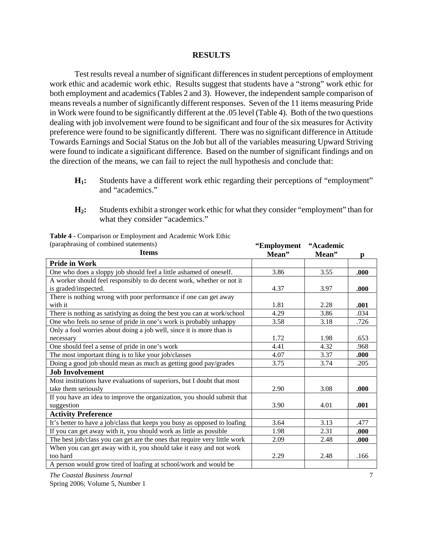### **RESULTS**

Test results reveal a number of significant differences in student perceptions of employment work ethic and academic work ethic. Results suggest that students have a "strong" work ethic for both employment and academics (Tables 2 and 3). However, the independent sample comparison of means reveals a number of significantly different responses. Seven of the 11 items measuring Pride in Work were found to be significantly different at the .05 level (Table 4). Both of the two questions dealing with job involvement were found to be significant and four of the six measures for Activity preference were found to be significantly different. There was no significant difference in Attitude Towards Earnings and Social Status on the Job but all of the variables measuring Upward Striving were found to indicate a significant difference. Based on the number of significant findings and on the direction of the means, we can fail to reject the null hypothesis and conclude that:

- **H1:** Students have a different work ethic regarding their perceptions of "employment" and "academics."
- **H2:** Students exhibit a stronger work ethic for what they consider "employment" than for what they consider "academics."

| (paraphrasing of combined statements)                                     | "Employment | "Academic |      |
|---------------------------------------------------------------------------|-------------|-----------|------|
| <b>Items</b>                                                              | Mean"       | Mean"     | p    |
| <b>Pride in Work</b>                                                      |             |           |      |
| One who does a sloppy job should feel a little ashamed of oneself.        | 3.86        | 3.55      | .000 |
| A worker should feel responsibly to do decent work, whether or not it     |             |           |      |
| is graded/inspected.                                                      | 4.37        | 3.97      | .000 |
| There is nothing wrong with poor performance if one can get away          |             |           |      |
| with it                                                                   | 1.81        | 2.28      | .001 |
| There is nothing as satisfying as doing the best you can at work/school   | 4.29        | 3.86      | .034 |
| One who feels no sense of pride in one's work is probably unhappy         | 3.58        | 3.18      | .726 |
| Only a fool worries about doing a job well, since it is more than is      |             |           |      |
| necessary                                                                 | 1.72        | 1.98      | .653 |
| One should feel a sense of pride in one's work                            | 4.41        | 4.32      | .968 |
| The most important thing is to like your job/classes                      | 4.07        | 3.37      | .000 |
| Doing a good job should mean as much as getting good pay/grades           | 3.75        | 3.74      | .205 |
| <b>Job Involvement</b>                                                    |             |           |      |
| Most institutions have evaluations of superiors, but I doubt that most    |             |           |      |
| take them seriously                                                       | 2.90        | 3.08      | .000 |
| If you have an idea to improve the organization, you should submit that   |             |           |      |
| suggestion                                                                | 3.90        | 4.01      | .001 |
| <b>Activity Preference</b>                                                |             |           |      |
| It's better to have a job/class that keeps you busy as opposed to loafing | 3.64        | 3.13      | .477 |
| If you can get away with it, you should work as little as possible        | 1.98        | 2.31      | .000 |
| The best job/class you can get are the ones that require very little work | 2.09        | 2.48      | .000 |
| When you can get away with it, you should take it easy and not work       |             |           |      |
| too hard                                                                  | 2.29        | 2.48      | .166 |
| A person would grow tired of loafing at school/work and would be          |             |           |      |

**Table 4 -** Comparison or Employment and Academic Work Ethic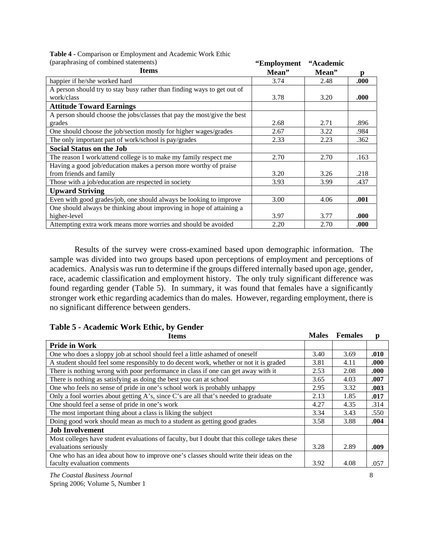**Table 4 -** Comparison or Employment and Academic Work Ethic (paraphrasing of combined statements)

| (paraphrasing of combined statements)                                   | "Employment | "Academic |      |
|-------------------------------------------------------------------------|-------------|-----------|------|
| <b>Items</b>                                                            | Mean"       | Mean"     | D    |
| happier if he/she worked hard                                           | 3.74        | 2.48      | .000 |
| A person should try to stay busy rather than finding ways to get out of |             |           |      |
| work/class                                                              | 3.78        | 3.20      | .000 |
| <b>Attitude Toward Earnings</b>                                         |             |           |      |
| A person should choose the jobs/classes that pay the most/give the best |             |           |      |
| grades                                                                  | 2.68        | 2.71      | .896 |
| One should choose the job/section mostly for higher wages/grades        | 2.67        | 3.22      | .984 |
| The only important part of work/school is pay/grades                    | 2.33        | 2.23      | .362 |
| <b>Social Status on the Job</b>                                         |             |           |      |
| The reason I work/attend college is to make my family respect me        | 2.70        | 2.70      | .163 |
| Having a good job/education makes a person more worthy of praise        |             |           |      |
| from friends and family                                                 | 3.20        | 3.26      | .218 |
| Those with a job/education are respected in society                     | 3.93        | 3.99      | .437 |
| <b>Upward Striving</b>                                                  |             |           |      |
| Even with good grades/job, one should always be looking to improve      | 3.00        | 4.06      | .001 |
| One should always be thinking about improving in hope of attaining a    |             |           |      |
| higher-level                                                            | 3.97        | 3.77      | .000 |
| Attempting extra work means more worries and should be avoided          | 2.20        | 2.70      | .000 |

 Results of the survey were cross-examined based upon demographic information. The sample was divided into two groups based upon perceptions of employment and perceptions of academics. Analysis was run to determine if the groups differed internally based upon age, gender, race, academic classification and employment history. The only truly significant difference was found regarding gender (Table 5). In summary, it was found that females have a significantly stronger work ethic regarding academics than do males. However, regarding employment, there is no significant difference between genders.

| <b>Items</b>                                                                                 | <b>Males</b> | <b>Females</b> | p    |
|----------------------------------------------------------------------------------------------|--------------|----------------|------|
| <b>Pride in Work</b>                                                                         |              |                |      |
| One who does a sloppy job at school should feel a little ashamed of oneself                  | 3.40         | 3.69           | .010 |
| A student should feel some responsibly to do decent work, whether or not it is graded        | 3.81         | 4.11           | .000 |
| There is nothing wrong with poor performance in class if one can get away with it            | 2.53         | 2.08           | .000 |
| There is nothing as satisfying as doing the best you can at school                           | 3.65         | 4.03           | .007 |
| One who feels no sense of pride in one's school work is probably unhappy                     | 2.95         | 3.32           | .003 |
| Only a fool worries about getting A's, since C's are all that's needed to graduate           | 2.13         | 1.85           | .017 |
| One should feel a sense of pride in one's work                                               | 4.27         | 4.35           | .314 |
| The most important thing about a class is liking the subject                                 | 3.34         | 3.43           | .550 |
| Doing good work should mean as much to a student as getting good grades                      | 3.58         | 3.88           | .004 |
| <b>Job Involvement</b>                                                                       |              |                |      |
| Most colleges have student evaluations of faculty, but I doubt that this college takes these |              |                |      |
| evaluations seriously                                                                        | 3.28         | 2.89           | .009 |
| One who has an idea about how to improve one's classes should write their ideas on the       |              |                |      |
| faculty evaluation comments                                                                  | 3.92         | 4.08           | .057 |

# **Table 5 - Academic Work Ethic, by Gender**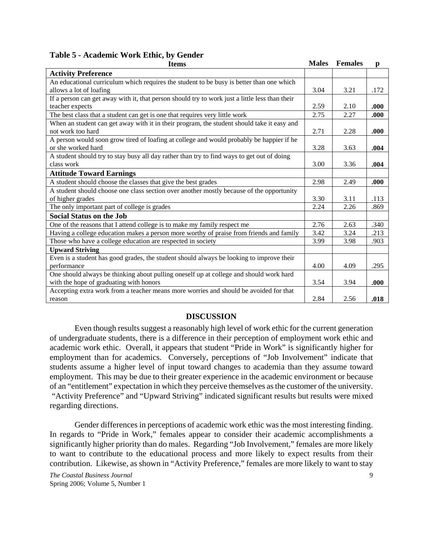| <b>Items</b>                                                                                   | <b>Males</b> | <b>Females</b> | $\mathbf{p}$ |
|------------------------------------------------------------------------------------------------|--------------|----------------|--------------|
| <b>Activity Preference</b>                                                                     |              |                |              |
| An educational curriculum which requires the student to be busy is better than one which       |              |                |              |
| allows a lot of loafing                                                                        | 3.04         | 3.21           | .172         |
| If a person can get away with it, that person should try to work just a little less than their |              |                |              |
| teacher expects                                                                                | 2.59         | 2.10           | .000         |
| The best class that a student can get is one that requires very little work                    | 2.75         | 2.27           | .000         |
| When an student can get away with it in their program, the student should take it easy and     |              |                |              |
| not work too hard                                                                              | 2.71         | 2.28           | .000         |
| A person would soon grow tired of loafing at college and would probably be happier if he       |              |                |              |
| or she worked hard                                                                             | 3.28         | 3.63           | .004         |
| A student should try to stay busy all day rather than try to find ways to get out of doing     |              |                |              |
| class work                                                                                     | 3.00         | 3.36           | .004         |
| <b>Attitude Toward Earnings</b>                                                                |              |                |              |
| A student should choose the classes that give the best grades                                  | 2.98         | 2.49           | .000         |
| A student should choose one class section over another mostly because of the opportunity       |              |                |              |
| of higher grades                                                                               | 3.30         | 3.11           | .113         |
| The only important part of college is grades                                                   | 2.24         | 2.26           | .869         |
| <b>Social Status on the Job</b>                                                                |              |                |              |
| One of the reasons that I attend college is to make my family respect me                       | 2.76         | 2.63           | .340         |
| Having a college education makes a person more worthy of praise from friends and family        | 3.42         | 3.24           | .213         |
| Those who have a college education are respected in society                                    | 3.99         | 3.98           | .903         |
| <b>Upward Striving</b>                                                                         |              |                |              |
| Even is a student has good grades, the student should always be looking to improve their       |              |                |              |
| performance                                                                                    | 4.00         | 4.09           | .295         |
| One should always be thinking about pulling oneself up at college and should work hard         |              |                |              |
| with the hope of graduating with honors                                                        | 3.54         | 3.94           | .000         |
| Accepting extra work from a teacher means more worries and should be avoided for that          |              |                |              |
| reason                                                                                         | 2.84         | 2.56           | .018         |

# **DISCUSSION**

Even though results suggest a reasonably high level of work ethic for the current generation of undergraduate students, there is a difference in their perception of employment work ethic and academic work ethic. Overall, it appears that student "Pride in Work" is significantly higher for employment than for academics. Conversely, perceptions of "Job Involvement" indicate that students assume a higher level of input toward changes to academia than they assume toward employment. This may be due to their greater experience in the academic environment or because of an "entitlement" expectation in which they perceive themselves as the customer of the university. "Activity Preference" and "Upward Striving" indicated significant results but results were mixed regarding directions.

Gender differences in perceptions of academic work ethic was the most interesting finding. In regards to "Pride in Work," females appear to consider their academic accomplishments a significantly higher priority than do males. Regarding "Job Involvement," females are more likely to want to contribute to the educational process and more likely to expect results from their contribution. Likewise, as shown in "Activity Preference," females are more likely to want to stay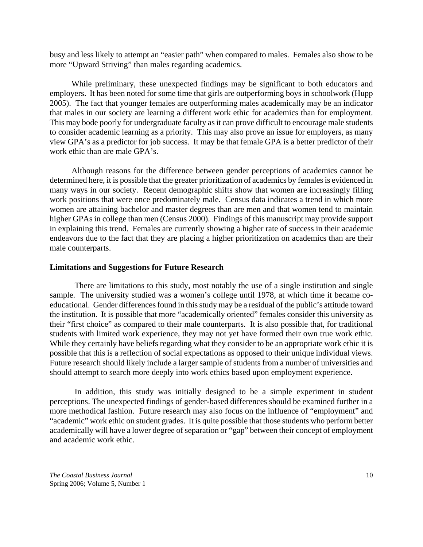busy and less likely to attempt an "easier path" when compared to males. Females also show to be more "Upward Striving" than males regarding academics.

While preliminary, these unexpected findings may be significant to both educators and employers. It has been noted for some time that girls are outperforming boys in schoolwork (Hupp 2005). The fact that younger females are outperforming males academically may be an indicator that males in our society are learning a different work ethic for academics than for employment. This may bode poorly for undergraduate faculty as it can prove difficult to encourage male students to consider academic learning as a priority. This may also prove an issue for employers, as many view GPA's as a predictor for job success. It may be that female GPA is a better predictor of their work ethic than are male GPA's.

Although reasons for the difference between gender perceptions of academics cannot be determined here, it is possible that the greater prioritization of academics by females is evidenced in many ways in our society. Recent demographic shifts show that women are increasingly filling work positions that were once predominately male. Census data indicates a trend in which more women are attaining bachelor and master degrees than are men and that women tend to maintain higher GPAs in college than men (Census 2000). Findings of this manuscript may provide support in explaining this trend. Females are currently showing a higher rate of success in their academic endeavors due to the fact that they are placing a higher prioritization on academics than are their male counterparts.

#### **Limitations and Suggestions for Future Research**

There are limitations to this study, most notably the use of a single institution and single sample. The university studied was a women's college until 1978, at which time it became coeducational. Gender differences found in this study may be a residual of the public's attitude toward the institution. It is possible that more "academically oriented" females consider this university as their "first choice" as compared to their male counterparts. It is also possible that, for traditional students with limited work experience, they may not yet have formed their own true work ethic. While they certainly have beliefs regarding what they consider to be an appropriate work ethic it is possible that this is a reflection of social expectations as opposed to their unique individual views. Future research should likely include a larger sample of students from a number of universities and should attempt to search more deeply into work ethics based upon employment experience.

In addition, this study was initially designed to be a simple experiment in student perceptions. The unexpected findings of gender-based differences should be examined further in a more methodical fashion. Future research may also focus on the influence of "employment" and "academic" work ethic on student grades. It is quite possible that those students who perform better academically will have a lower degree of separation or "gap" between their concept of employment and academic work ethic.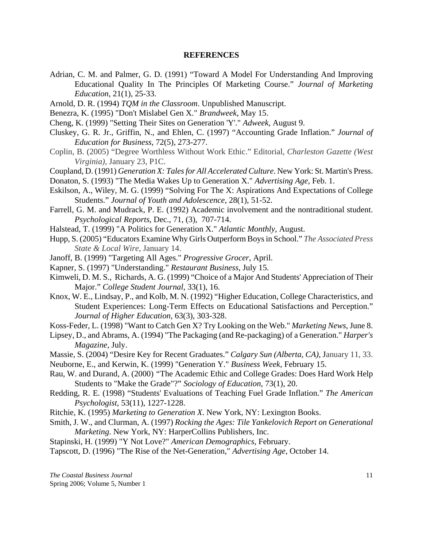#### **REFERENCES**

- Adrian, C. M. and Palmer, G. D. (1991) "Toward A Model For Understanding And Improving Educational Quality In The Principles Of Marketing Course." *Journal of Marketing Education*, 21(1), 25-33.
- Arnold, D. R. (1994) *TQM in the Classroom*. Unpublished Manuscript.
- Benezra, K. (1995) "Don't Mislabel Gen X." *Brandweek*, May 15.
- Cheng, K. (1999) "Setting Their Sites on Generation 'Y'." *Adweek*, August 9.
- Cluskey, G. R. Jr., Griffin, N., and Ehlen, C. (1997) "Accounting Grade Inflation." *Journal of Education for Business*, 72(5), 273-277.
- Coplin, B. (2005) "Degree Worthless Without Work Ethic." Editorial, *Charleston Gazette (West Virginia),* January 23, P1C.
- Coupland, D. (1991) *Generation X: Tales for All Accelerated Culture*. New York: St. Martin's Press.
- Donaton, S. (1993) "The Media Wakes Up to Generation X." *Advertising Age*, Feb. 1.
- Eskilson, A., Wiley, M. G. (1999) "Solving For The X: Aspirations And Expectations of College Students." *Journal of Youth and Adolescence*, 28(1), 51-52.
- Farrell, G. M. and Mudrack, P. E. (1992) Academic involvement and the nontraditional student. *Psychological Reports*, Dec., 71, (3), 707-714.
- Halstead, T. (1999) "A Politics for Generation X." *Atlantic Monthly*, August.
- Hupp, S. (2005) "Educators Examine Why Girls Outperform Boys in School." *The Associated Press State & Local Wire*, January 14.
- Janoff, B. (1999) "Targeting All Ages." *Progressive Grocer*, April.
- Kapner, S. (1997) "Understanding." *Restaurant Business*, July 15.
- Kimweli, D. M. S., Richards, A. G. (1999) "Choice of a Major And Students' Appreciation of Their Major." *College Student Journal*, 33(1), 16.
- Knox, W. E., Lindsay, P., and Kolb, M. N. (1992) "Higher Education, College Characteristics, and Student Experiences: Long-Term Effects on Educational Satisfactions and Perception." *Journal of Higher Education*, 63(3), 303-328.
- Koss-Feder, L. (1998) "Want to Catch Gen X? Try Looking on the Web." *Marketing News*, June 8.
- Lipsey, D., and Abrams, A. (1994) "The Packaging (and Re-packaging) of a Generation." *Harper's Magazine*, July.
- Massie, S. (2004) "Desire Key for Recent Graduates." *Calgary Sun (Alberta, CA)*, January 11, 33.
- Neuborne, E., and Kerwin, K. (1999) "Generation Y." *Business Week*, February 15.
- Rau, W. and Durand, A. (2000) *"*The Academic Ethic and College Grades: Does Hard Work Help Students to "Make the Grade"?" *Sociology of Education*, 73(1), 20.
- Redding, R. E. (1998) "Students' Evaluations of Teaching Fuel Grade Inflation." *The American Psychologist*, 53(11), 1227-1228.
- Ritchie, K. (1995) *Marketing to Generation X*. New York, NY: Lexington Books.
- Smith, J. W., and Clurman, A. (1997) *Rocking the Ages: Tile Yankelovich Report on Generational Marketing*. New York, NY: HarperCollins Publishers, Inc.
- Stapinski, H. (1999) "Y Not Love?" *American Demographics*, February.
- Tapscott, D. (1996) "The Rise of the Net-Generation," *Advertising Age*, October 14.